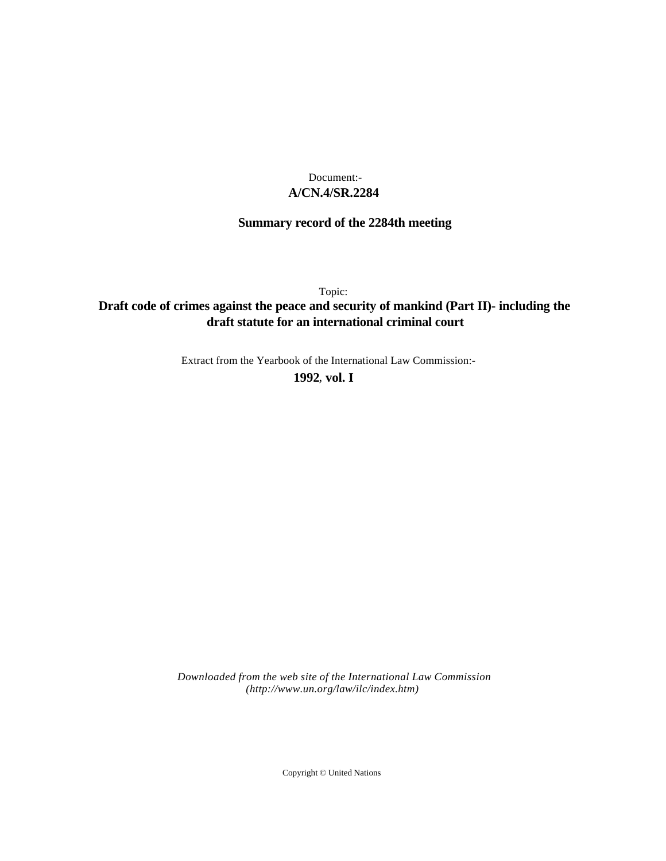# **A/CN.4/SR.2284** Document:-

# **Summary record of the 2284th meeting**

Topic:

# **Draft code of crimes against the peace and security of mankind (Part II)- including the draft statute for an international criminal court**

Extract from the Yearbook of the International Law Commission:-

**1992** , **vol. I**

*Downloaded from the web site of the International Law Commission (http://www.un.org/law/ilc/index.htm)*

Copyright © United Nations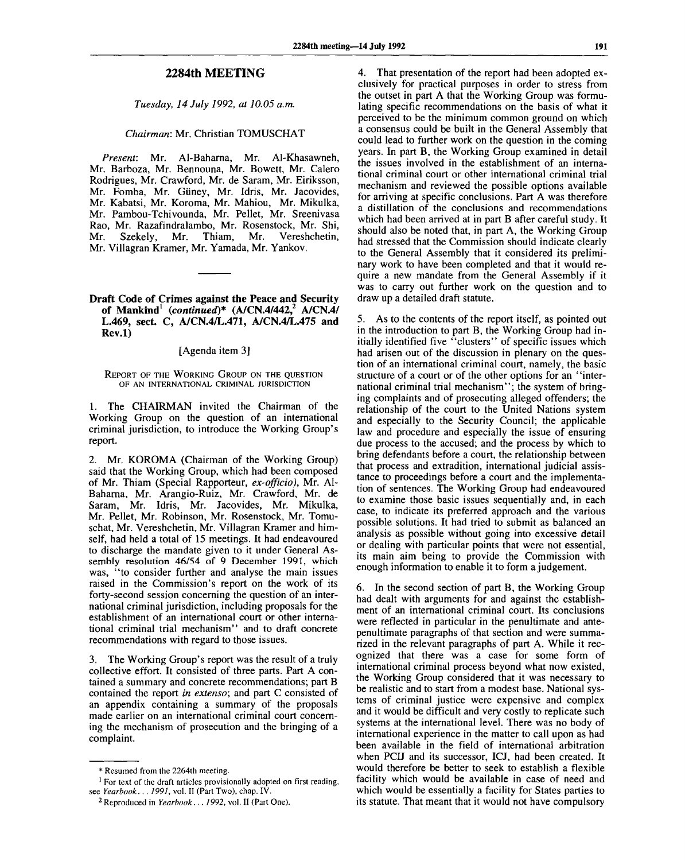## **2284th MEETING**

*Tuesday, 14 July 1992, at 10.05 a.m.*

### *Chairman:* Mr. Christian TOMUSCHAT

*Present:* Mr. Al-Baharna, Mr. Al-Khasawneh, Mr. Barboza, Mr. Bennouna, Mr. Bowett, Mr. Calero Rodrigues, Mr. Crawford, Mr. de Saram, Mr. Eiriksson, Mr. Fomba, Mr. Giiney, Mr. Idris, Mr. Jacovides, Mr. Kabatsi, Mr. Koroma, Mr. Mahiou, Mr. Mikulka, Mr. Pambou-Tchivounda, Mr. Pellet, Mr. Sreenivasa Rao, Mr. Razafindralambo, Mr. Rosenstock, Mr. Shi, Mr. Szekely, Mr. Thiam, Mr. Vereshchetin, Mr. Villagran Kramer, Mr. Yamada, Mr. Yankov.

### **Draft Code of Crimes against the Peace and Security of Mankind<sup>1</sup>**  *(continued)\** **(A/CN.4/442,<sup>2</sup> A/CN.4/ L.469, sect. C, A/CN.4/L.471, A/CN.4/L.475 and Rev.l)**

#### [Agenda item 3]

#### REPORT OF THE WORKING GROUP ON THE QUESTION OF AN INTERNATIONAL CRIMINAL JURISDICTION

1. The CHAIRMAN invited the Chairman of the Working Group on the question of an international criminal jurisdiction, to introduce the Working Group's report.

2. Mr. KOROMA (Chairman of the Working Group) said that the Working Group, which had been composed of Mr. Thiam (Special Rapporteur, *ex-officio),* Mr. Al-Baharna, Mr. Arangio-Ruiz, Mr. Crawford, Mr. de Saram, Mr. Idris, Mr. Jacovides, Mr. Mikulka, Mr. Pellet, Mr. Robinson, Mr. Rosenstock, Mr. Tomuschat, Mr. Vereshchetin, Mr. Villagran Kramer and himself, had held a total of 15 meetings. It had endeavoured to discharge the mandate given to it under General Assembly resolution 46/54 of 9 December 1991, which was, "to consider further and analyse the main issues raised in the Commission's report on the work of its forty-second session concerning the question of an international criminal jurisdiction, including proposals for the establishment of an international court or other international criminal trial mechanism" and to draft concrete recommendations with regard to those issues.

3. The Working Group's report was the result of a truly collective effort. It consisted of three parts. Part A contained a summary and concrete recommendations; part B contained the report *in extenso;* and part C consisted of an appendix containing a summary of the proposals made earlier on an international criminal court concerning the mechanism of prosecution and the bringing of a complaint.

4. That presentation of the report had been adopted exclusively for practical purposes in order to stress from the outset in part A that the Working Group was formulating specific recommendations on the basis of what it perceived to be the minimum common ground on which a consensus could be built in the General Assembly that could lead to further work on the question in the coming years. In part B, the Working Group examined in detail the issues involved in the establishment of an international criminal court or other international criminal trial mechanism and reviewed the possible options available for arriving at specific conclusions. Part A was therefore a distillation of the conclusions and recommendations which had been arrived at in part B after careful study. It should also be noted that, in part A, the Working Group had stressed that the Commission should indicate clearly to the General Assembly that it considered its preliminary work to have been completed and that it would require a new mandate from the General Assembly if it was to carry out further work on the question and to draw up a detailed draft statute.

5. As to the contents of the report itself, as pointed out in the introduction to part B, the Working Group had initially identified five "clusters" of specific issues which had arisen out of the discussion in plenary on the question of an international criminal court, namely, the basic structure of a court or of the other options for an ' 'international criminal trial mechanism"; the system of bringing complaints and of prosecuting alleged offenders; the relationship of the court to the United Nations system and especially to the Security Council; the applicable law and procedure and especially the issue of ensuring due process to the accused; and the process by which to bring defendants before a court, the relationship between that process and extradition, international judicial assistance to proceedings before a court and the implementation of sentences. The Working Group had endeavoured to examine those basic issues sequentially and, in each case, to indicate its preferred approach and the various possible solutions. It had tried to submit as balanced an analysis as possible without going into excessive detail or dealing with particular points that were not essential, its main aim being to provide the Commission with enough information to enable it to form a judgement.

6. In the second section of part B, the Working Group had dealt with arguments for and against the establishment of an international criminal court. Its conclusions were reflected in particular in the penultimate and antepenultimate paragraphs of that section and were summarized in the relevant paragraphs of part A. While it recognized that there was a case for some form of international criminal process beyond what now existed, the Working Group considered that it was necessary to be realistic and to start from a modest base. National systems of criminal justice were expensive and complex and it would be difficult and very costly to replicate such systems at the international level. There was no body of international experience in the matter to call upon as had been available in the field of international arbitration when PCIJ and its successor, ICJ, had been created. It would therefore be better to seek to establish a flexible facility which would be available in case of need and which would be essentially a facility for States parties to its statute. That meant that it would not have compulsory

<sup>\*</sup> Resumed from the 2264th meeting.

<sup>&</sup>lt;sup>1</sup> For text of the draft articles provisionally adopted on first reading, see *Yearbook.. . 1991,* vol. II (Part Two), chap. IV.

<sup>2</sup> Reproduced in *Yearbook. . . 1992,* vol. II (Part One).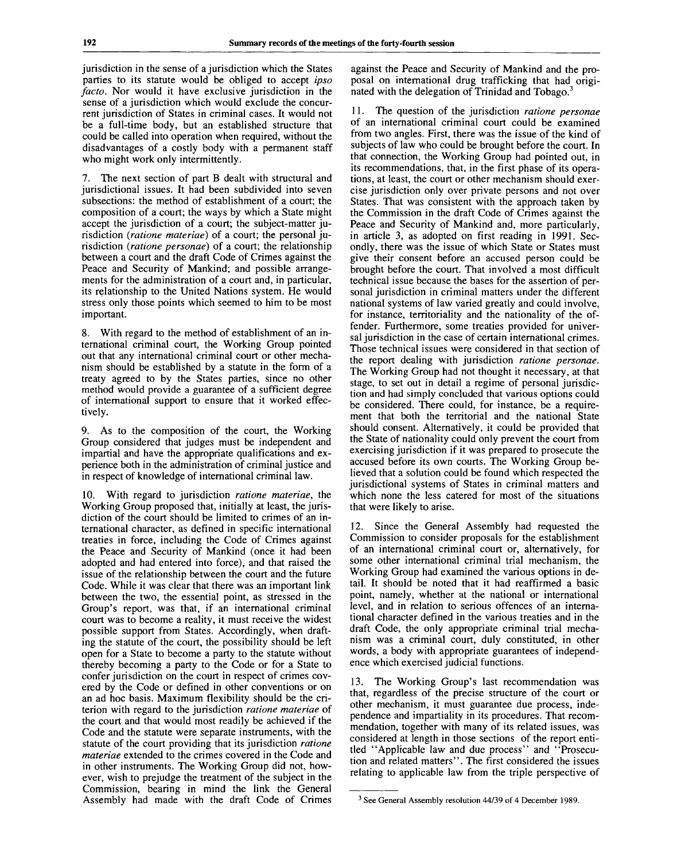jurisdiction in the sense of a jurisdiction which the States parties to its statute would be obliged to accept *ipso facto.* Nor would it have exclusive jurisdiction in the sense of a jurisdiction which would exclude the concurrent jurisdiction of States in criminal cases. It would not be a full-time body, but an established structure that could be called into operation when required, without the disadvantages of a costly body with a permanent staff who might work only intermittently.

7. The next section of part B dealt with structural and jurisdictional issues. It had been subdivided into seven subsections: the method of establishment of a court; the composition of a court; the ways by which a State might accept the jurisdiction of a court; the subject-matter jurisdiction *(ratione materiae)* of a court; the personal jurisdiction *(ratione personae)* of a court; the relationship between a court and the draft Code of Crimes against the Peace and Security of Mankind; and possible arrangements for the administration of a court and, in particular, its relationship to the United Nations system. He would stress only those points which seemed to him to be most important.

8. With regard to the method of establishment of an international criminal court, the Working Group pointed out that any international criminal court or other mechanism should be established by a statute in the form of a treaty agreed to by the States parties, since no other method would provide a guarantee of a sufficient degree of international support to ensure that it worked effectively.

9. As to the composition of the court, the Working Group considered that judges must be independent and impartial and have the appropriate qualifications and experience both in the administration of criminal justice and in respect of knowledge of international criminal law.

10. With regard to jurisdiction *ratione materiae,* the Working Group proposed that, initially at least, the jurisdiction of the court should be limited to crimes of an international character, as defined in specific international treaties in force, including the Code of Crimes against the Peace and Security of Mankind (once it had been adopted and had entered into force), and that raised the issue of the relationship between the court and the future Code. While it was clear that there was an important link between the two, the essential point, as stressed in the Group's report, was that, if an international criminal court was to become a reality, it must receive the widest possible support from States. Accordingly, when drafting the statute of the court, the possibility should be left open for a State to become a party to the statute without thereby becoming a party to the Code or for a State to confer jurisdiction on the court in respect of crimes covered by the Code or defined in other conventions or on an ad hoc basis. Maximum flexibility should be the criterion with regard to the jurisdiction *ratione materiae* of the court and that would most readily be achieved if the Code and the statute were separate instruments, with the statute of the court providing that its jurisdiction *ratione materiae* extended to the crimes covered in the Code and in other instruments. The Working Group did not, however, wish to prejudge the treatment of the subject in the Commission, bearing in mind the link the General Assembly had made with the draft Code of Crimes

against the Peace and Security of Mankind and the proposal on international drug trafficking that had originated with the delegation of Trinidad and Tobago.<sup>3</sup>

11. The question of the jurisdiction *ratione personae* of an international criminal court could be examined from two angles. First, there was the issue of the kind of subjects of law who could be brought before the court. In that connection, the Working Group had pointed out, in its recommendations, that, in the first phase of its operations, at least, the court or other mechanism should exercise jurisdiction only over private persons and not over States. That was consistent with the approach taken by the Commission in the draft Code of Crimes against the Peace and Security of Mankind and, more particularly, in article 3, as adopted on first reading in 1991. Secondly, there was the issue of which State or States must give their consent before an accused person could be brought before the court. That involved a most difficult technical issue because the bases for the assertion of personal jurisdiction in criminal matters under the different national systems of law varied greatly and could involve, for instance, territoriality and the nationality of the offender. Furthermore, some treaties provided for universal jurisdiction in the case of certain international crimes. Those technical issues were considered in that section of the report dealing with jurisdiction *ratione personae.* The Working Group had not thought it necessary, at that stage, to set out in detail a regime of personal jurisdiction and had simply concluded that various options could be considered. There could, for instance, be a requirement that both the territorial and the national State should consent. Alternatively, it could be provided that the State of nationality could only prevent the court from exercising jurisdiction if it was prepared to prosecute the accused before its own courts. The Working Group believed that a solution could be found which respected the jurisdictional systems of States in criminal matters and which none the less catered for most of the situations that were likely to arise.

12. Since the General Assembly had requested the Commission to consider proposals for the establishment of an international criminal court or, alternatively, for some other international criminal trial mechanism, the Working Group had examined the various options in detail. It should be noted that it had reaffirmed a basic point, namely, whether at the national or international level, and in relation to serious offences of an international character defined in the various treaties and in the draft Code, the only appropriate criminal trial mechanism was a criminal court, duly constituted, in other words, a body with appropriate guarantees of independence which exercised judicial functions.

13. The Working Group's last recommendation was that, regardless of the precise structure of the court or other mechanism, it must guarantee due process, independence and impartiality in its procedures. That recommendation, together with many of its related issues, was considered at length in those sections of the report entitled "Applicable law and due process" and "Prosecution and related matters". The first considered the issues relating to applicable law from the triple perspective of

<sup>3</sup> See General Assembly resolution 44/39 of 4 December 1989.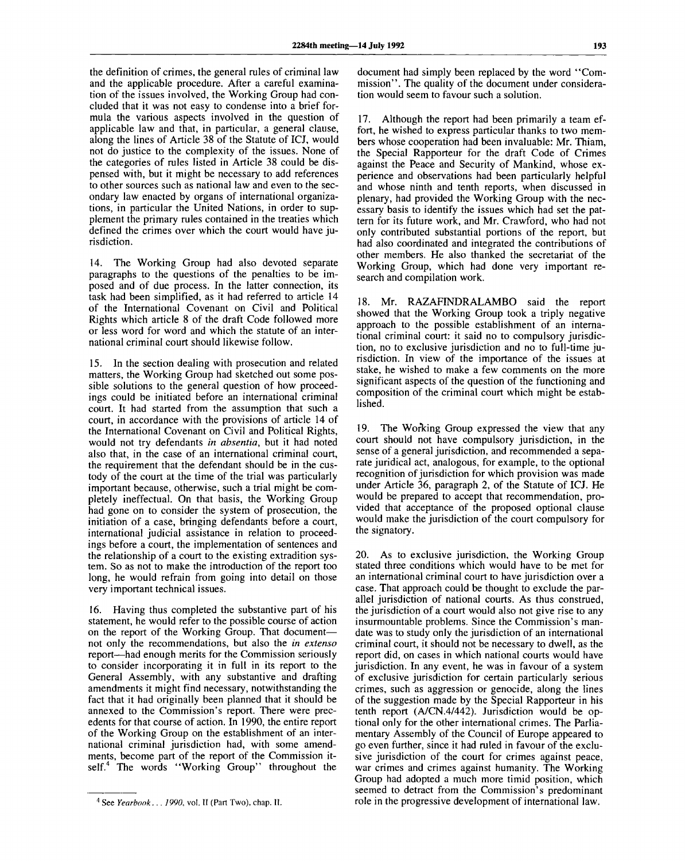the definition of crimes, the general rules of criminal law and the applicable procedure. After a careful examination of the issues involved, the Working Group had concluded that it was not easy to condense into a brief formula the various aspects involved in the question of applicable law and that, in particular, a general clause, along the lines of Article 38 of the Statute of ICJ, would not do justice to the complexity of the issues. None of the categories of rules listed in Article 38 could be dispensed with, but it might be necessary to add references to other sources such as national law and even to the secondary law enacted by organs of international organizations, in particular the United Nations, in order to supplement the primary rules contained in the treaties which defined the crimes over which the court would have jurisdiction.

14. The Working Group had also devoted separate paragraphs to the questions of the penalties to be imposed and of due process. In the latter connection, its task had been simplified, as it had referred to article 14 of the International Covenant on Civil and Political Rights which article 8 of the draft Code followed more or less word for word and which the statute of an international criminal court should likewise follow.

15. In the section dealing with prosecution and related matters, the Working Group had sketched out some possible solutions to the general question of how proceedings could be initiated before an international criminal court. It had started from the assumption that such a court, in accordance with the provisions of article 14 of the International Covenant on Civil and Political Rights, would not try defendants *in absentia,* but it had noted also that, in the case of an international criminal court, the requirement that the defendant should be in the custody of the court at the time of the trial was particularly important because, otherwise, such a trial might be completely ineffectual. On that basis, the Working Group had gone on to consider the system of prosecution, the initiation of a case, bringing defendants before a court, international judicial assistance in relation to proceedings before a court, the implementation of sentences and the relationship of a court to the existing extradition system. So as not to make the introduction of the report too long, he would refrain from going into detail on those very important technical issues.

16. Having thus completed the substantive part of his statement, he would refer to the possible course of action on the report of the Working Group. That document not only the recommendations, but also the *in extenso* report—had enough merits for the Commission seriously to consider incorporating it in full in its report to the General Assembly, with any substantive and drafting amendments it might find necessary, notwithstanding the fact that it had originally been planned that it should be annexed to the Commission's report. There were precedents for that course of action. In 1990, the entire report of the Working Group on the establishment of an international criminal jurisdiction had, with some amendments, become part of the report of the Commission itself.<sup>4</sup> The words "Working Group" throughout the

document had simply been replaced by the word "Commission". The quality of the document under consideration would seem to favour such a solution.

17. Although the report had been primarily a team effort, he wished to express particular thanks to two members whose cooperation had been invaluable: Mr. Thiam, the Special Rapporteur for the draft Code of Crimes against the Peace and Security of Mankind, whose experience and observations had been particularly helpful and whose ninth and tenth reports, when discussed in plenary, had provided the Working Group with the necessary basis to identify the issues which had set the pattern for its future work, and Mr. Crawford, who had not only contributed substantial portions of the report, but had also coordinated and integrated the contributions of other members. He also thanked the secretariat of the Working Group, which had done very important research and compilation work.

18. Mr. RAZAFINDRALAMBO said the report showed that the Working Group took a triply negative approach to the possible establishment of an international criminal court: it said no to compulsory jurisdiction, no to exclusive jurisdiction and no to full-time jurisdiction. In view of the importance of the issues at stake, he wished to make a few comments on the more significant aspects of the question of the functioning and composition of the criminal court which might be established.

19. The Working Group expressed the view that any court should not have compulsory jurisdiction, in the sense of a general jurisdiction, and recommended a separate juridical act, analogous, for example, to the optional recognition of jurisdiction for which provision was made under Article 36, paragraph 2, of the Statute of ICJ. He would be prepared to accept that recommendation, provided that acceptance of the proposed optional clause would make the jurisdiction of the court compulsory for the signatory.

20. As to exclusive jurisdiction, the Working Group stated three conditions which would have to be met for an international criminal court to have jurisdiction over a case. That approach could be thought to exclude the parallel jurisdiction of national courts. As thus construed, the jurisdiction of a court would also not give rise to any insurmountable problems. Since the Commission's mandate was to study only the jurisdiction of an international criminal court, it should not be necessary to dwell, as the report did, on cases in which national courts would have jurisdiction. In any event, he was in favour of a system of exclusive jurisdiction for certain particularly serious crimes, such as aggression or genocide, along the lines of the suggestion made by the Special Rapporteur in his tenth report (A/CN.4/442). Jurisdiction would be optional only for the other international crimes. The Parliamentary Assembly of the Council of Europe appeared to go even further, since it had ruled in favour of the exclusive jurisdiction of the court for crimes against peace, war crimes and crimes against humanity. The Working Group had adopted a much more timid position, which seemed to detract from the Commission's predominant role in the progressive development of international law.

<sup>4</sup> See *Yearbook.. . 1990,* vol. II (Part Two), chap. II.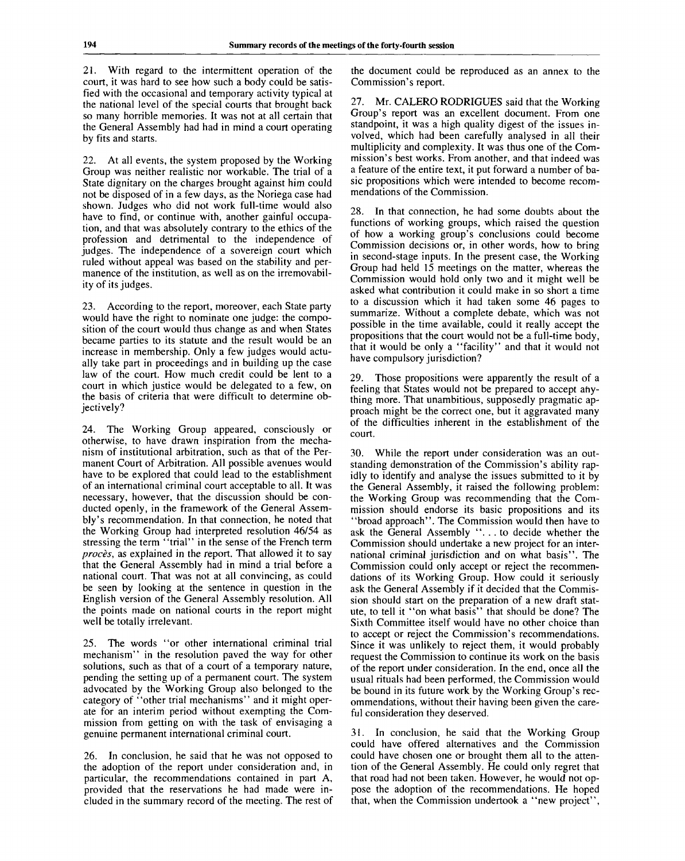21. With regard to the intermittent operation of the court, it was hard to see how such a body could be satisfied with the occasional and temporary activity typical at the national level of the special courts that brought back so many horrible memories. It was not at all certain that the General Assembly had had in mind a court operating by fits and starts.

22. At all events, the system proposed by the Working Group was neither realistic nor workable. The trial of a State dignitary on the charges brought against him could not be disposed of in a few days, as the Noriega case had shown. Judges who did not work full-time would also have to find, or continue with, another gainful occupation, and that was absolutely contrary to the ethics of the profession and detrimental to the independence of judges. The independence of a sovereign court which ruled without appeal was based on the stability and permanence of the institution, as well as on the irremovability of its judges.

23. According to the report, moreover, each State party would have the right to nominate one judge: the composition of the court would thus change as and when States became parties to its statute and the result would be an increase in membership. Only a few judges would actually take part in proceedings and in building up the case law of the court. How much credit could be lent to a court in which justice would be delegated to a few, on the basis of criteria that were difficult to determine objectively?

24. The Working Group appeared, consciously or otherwise, to have drawn inspiration from the mechanism of institutional arbitration, such as that of the Permanent Court of Arbitration. All possible avenues would have to be explored that could lead to the establishment of an international criminal court acceptable to all. It was necessary, however, that the discussion should be conducted openly, in the framework of the General Assembly's recommendation. In that connection, he noted that the Working Group had interpreted resolution 46/54 as stressing the term "trial" in the sense of the French term *proces,* as explained in the report. That allowed it to say that the General Assembly had in mind a trial before a national court. That was not at all convincing, as could be seen by looking at the sentence in question in the English version of the General Assembly resolution. All the points made on national courts in the report might well be totally irrelevant.

25. The words "or other international criminal trial mechanism" in the resolution paved the way for other solutions, such as that of a court of a temporary nature, pending the setting up of a permanent court. The system advocated by the Working Group also belonged to the category of "other trial mechanisms" and it might operate for an interim period without exempting the Commission from getting on with the task of envisaging a genuine permanent international criminal court.

26. In conclusion, he said that he was not opposed to the adoption of the report under consideration and, in particular, the recommendations contained in part A, provided that the reservations he had made were included in the summary record of the meeting. The rest of the document could be reproduced as an annex to the Commission's report.

27. Mr. CALERO RODRIGUES said that the Working Group's report was an excellent document. From one standpoint, it was a high quality digest of the issues involved, which had been carefully analysed in all their multiplicity and complexity. It was thus one of the Commission's best works. From another, and that indeed was a feature of the entire text, it put forward a number of basic propositions which were intended to become recommendations of the Commission.

28. In that connection, he had some doubts about the functions of working groups, which raised the question of how a working group's conclusions could become Commission decisions or, in other words, how to bring in second-stage inputs. In the present case, the Working Group had held 15 meetings on the matter, whereas the Commission would hold only two and it might well be asked what contribution it could make in so short a time to a discussion which it had taken some 46 pages to summarize. Without a complete debate, which was not possible in the time available, could it really accept the propositions that the court would not be a full-time body, that it would be only a "facility" and that it would not have compulsory jurisdiction?

29. Those propositions were apparently the result of a feeling that States would not be prepared to accept anything more. That unambitious, supposedly pragmatic approach might be the correct one, but it aggravated many of the difficulties inherent in the establishment of the court.

30. While the report under consideration was an outstanding demonstration of the Commission's ability rapidly to identify and analyse the issues submitted to it by the General Assembly, it raised the following problem: the Working Group was recommending that the Commission should endorse its basic propositions and its "broad approach". The Commission would then have to ask the General Assembly ".. . to decide whether the Commission should undertake a new project for an international criminal jurisdiction and on what basis". The Commission could only accept or reject the recommendations of its Working Group. How could it seriously ask the General Assembly if it decided that the Commission should start on the preparation of a new draft statute, to tell it "on what basis" that should be done? The Sixth Committee itself would have no other choice than to accept or reject the Commission's recommendations. Since it was unlikely to reject them, it would probably request the Commission to continue its work on the basis of the report under consideration. In the end, once all the usual rituals had been performed, the Commission would be bound in its future work by the Working Group's recommendations, without their having been given the careful consideration they deserved.

31. In conclusion, he said that the Working Group could have offered alternatives and the Commission could have chosen one or brought them all to the attention of the General Assembly. He could only regret that that road had not been taken. However, he would not oppose the adoption of the recommendations. He hoped that, when the Commission undertook a "new project",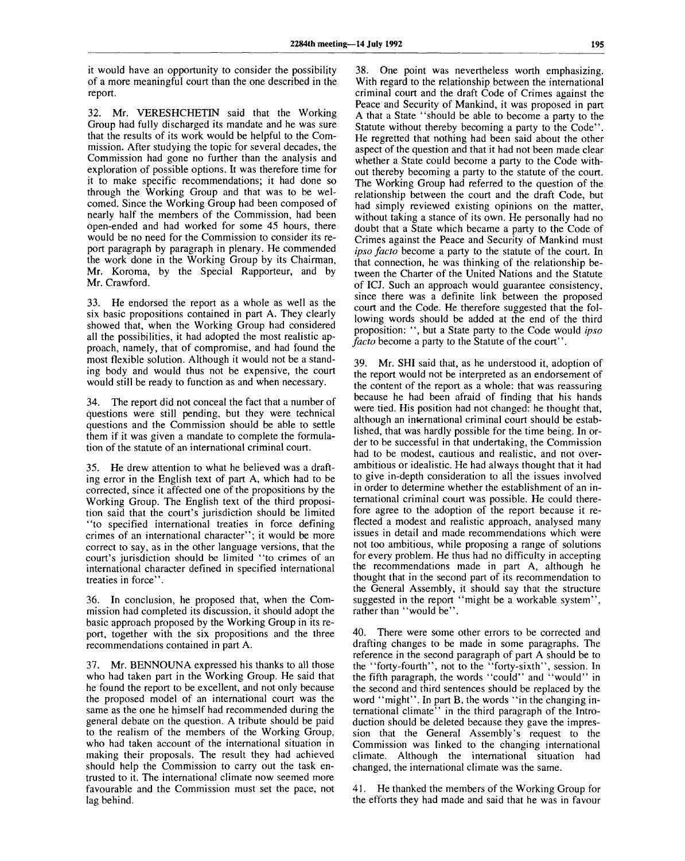it would have an opportunity to consider the possibility of a more meaningful court than the one described in the report.

32. Mr. VERESHCHETIN said that the Working Group had fully discharged its mandate and he was sure that the results of its work would be helpful to the Commission. After studying the topic for several decades, the Commission had gone no further than the analysis and exploration of possible options. It was therefore time for it to make specific recommendations; it had done so through the Working Group and that was to be welcomed. Since the Working Group had been composed of nearly half the members of the Commission, had been open-ended and had worked for some 45 hours, there would be no need for the Commission to consider its report paragraph by paragraph in plenary. He commended the work done in the Working Group by its Chairman, Mr. Koroma, by the Special Rapporteur, and by Mr. Crawford.

33. He endorsed the report as a whole as well as the six basic propositions contained in part A. They clearly showed that, when the Working Group had considered all the possibilities, it had adopted the most realistic approach, namely, that of compromise, and had found the most flexible solution. Although it would not be a standing body and would thus not be expensive, the court would still be ready to function as and when necessary.

34. The report did not conceal the fact that a number of questions were still pending, but they were technical questions and the Commission should be able to settle them if it was given a mandate to complete the formulation of the statute of an international criminal court.

35. He drew attention to what he believed was a drafting error in the English text of part A, which had to be corrected, since it affected one of the propositions by the Working Group. The English text of the third proposition said that the court's jurisdiction should be limited "to specified international treaties in force defining crimes of an international character"; it would be more correct to say, as in the other language versions, that the court's jurisdiction should be limited "to crimes of an international character defined in specified international treaties in force".

36. In conclusion, he proposed that, when the Commission had completed its discussion, it should adopt the basic approach proposed by the Working Group in its report, together with the six propositions and the three recommendations contained in part A.

37. Mr. BENNOUNA expressed his thanks to all those who had taken part in the Working Group. He said that he found the report to be excellent, and not only because the proposed model of an international court was the same as the one he himself had recommended during the general debate on the question. A tribute should be paid to the realism of the members of the Working Group, who had taken account of the international situation in making their proposals. The result they had achieved should help the Commission to carry out the task entrusted to it. The international climate now seemed more favourable and the Commission must set the pace, not lag behind.

38. One point was nevertheless worth emphasizing. With regard to the relationship between the international criminal court and the draft Code of Crimes against the Peace and Security of Mankind, it was proposed in part A that a State "should be able to become a party to the Statute without thereby becoming a party to the Code". He regretted that nothing had been said about the other aspect of the question and that it had not been made clear whether a State could become a party to the Code without thereby becoming a party to the statute of the court. The Working Group had referred to the question of the relationship between the court and the draft Code, but had simply reviewed existing opinions on the matter, without taking a stance of its own. He personally had no doubt that a State which became a party to the Code of Crimes against the Peace and Security of Mankind must *ipso facto* become a party to the statute of the court. In that connection, he was thinking of the relationship between the Charter of the United Nations and the Statute of ICJ. Such an approach would guarantee consistency, since there was a definite link between the proposed court and the Code. He therefore suggested that the following words should be added at the end of the third proposition: ", but a State party to the Code would *ipso facto* become a party to the Statute of the court".

39. Mr. SHI said that, as he understood it, adoption of the report would not be interpreted as an endorsement of the content of the report as a whole: that was reassuring because he had been afraid of finding that his hands were tied. His position had not changed: he thought that, although an international criminal court should be established, that was hardly possible for the time being. In order to be successful in that undertaking, the Commission had to be modest, cautious and realistic, and not overambitious or idealistic. He had always thought that it had to give in-depth consideration to all the issues involved in order to determine whether the establishment of an international criminal court was possible. He could therefore agree to the adoption of the report because it reflected a modest and realistic approach, analysed many issues in detail and made recommendations which were not too ambitious, while proposing a range of solutions for every problem. He thus had no difficulty in accepting the recommendations made in part A, although he thought that in the second part of its recommendation to the General Assembly, it should say that the structure suggested in the report "might be a workable system", rather than "would be".

40. There were some other errors to be corrected and drafting changes to be made in some paragraphs. The reference in the second paragraph of part A should be to the "forty-fourth", not to the "forty-sixth", session. In the fifth paragraph, the words "could" and "would" in the second and third sentences should be replaced by the word "might". In part B, the words "in the changing international climate<sup>5</sup> in the third paragraph of the Introduction should be deleted because they gave the impression that the General Assembly's request to the Commission was linked to the changing international climate. Although the international situation had changed, the international climate was the same.

41. He thanked the members of the Working Group for the efforts they had made and said that he was in favour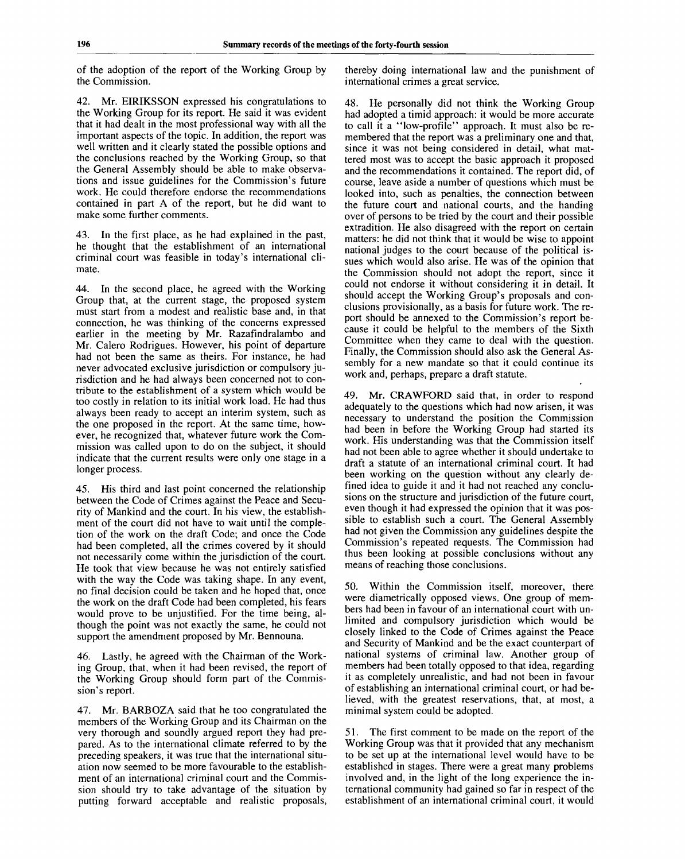of the adoption of the report of the Working Group by the Commission.

42. Mr. EIRIKSSON expressed his congratulations to the Working Group for its report. He said it was evident that it had dealt in the most professional way with all the important aspects of the topic. In addition, the report was well written and it clearly stated the possible options and the conclusions reached by the Working Group, so that the General Assembly should be able to make observations and issue guidelines for the Commission's future work. He could therefore endorse the recommendations contained in part A of the report, but he did want to make some further comments.

43. In the first place, as he had explained in the past, he thought that the establishment of an international criminal court was feasible in today's international climate.

44. In the second place, he agreed with the Working Group that, at the current stage, the proposed system must start from a modest and realistic base and, in that connection, he was thinking of the concerns expressed earlier in the meeting by Mr. Razafindralambo and Mr. Calero Rodrigues. However, his point of departure had not been the same as theirs. For instance, he had never advocated exclusive jurisdiction or compulsory jurisdiction and he had always been concerned not to contribute to the establishment of a system which would be too costly in relation to its initial work load. He had thus always been ready to accept an interim system, such as the one proposed in the report. At the same time, however, he recognized that, whatever future work the Commission was called upon to do on the subject, it should indicate that the current results were only one stage in a longer process.

45. His third and last point concerned the relationship between the Code of Crimes against the Peace and Security of Mankind and the court. In his view, the establishment of the court did not have to wait until the completion of the work on the draft Code; and once the Code had been completed, all the crimes covered by it should not necessarily come within the jurisdiction of the court. He took that view because he was not entirely satisfied with the way the Code was taking shape. In any event, no final decision could be taken and he hoped that, once the work on the draft Code had been completed, his fears would prove to be unjustified. For the time being, although the point was not exactly the same, he could not support the amendment proposed by Mr. Bennouna.

46. Lastly, he agreed with the Chairman of the Working Group, that, when it had been revised, the report of the Working Group should form part of the Commission's report.

47. Mr. BARBOZA said that he too congratulated the members of the Working Group and its Chairman on the very thorough and soundly argued report they had prepared. As to the international climate referred to by the preceding speakers, it was true that the international situation now seemed to be more favourable to the establishment of an international criminal court and the Commission should try to take advantage of the situation by putting forward acceptable and realistic proposals,

thereby doing international law and the punishment of international crimes a great service.

48. He personally did not think the Working Group had adopted a timid approach: it would be more accurate to call it a "low-profile" approach. It must also be remembered that the report was a preliminary one and that, since it was not being considered in detail, what mattered most was to accept the basic approach it proposed and the recommendations it contained. The report did, of course, leave aside a number of questions which must be looked into, such as penalties, the connection between the future court and national courts, and the handing over of persons to be tried by the court and their possible extradition. He also disagreed with the report on certain matters: he did not think that it would be wise to appoint national judges to the court because of the political issues which would also arise. He was of the opinion that the Commission should not adopt the report, since it could not endorse it without considering it in detail. It should accept the Working Group's proposals and conclusions provisionally, as a basis for future work. The report should be annexed to the Commission's report because it could be helpful to the members of the Sixth Committee when they came to deal with the question. Finally, the Commission should also ask the General Assembly for a new mandate so that it could continue its work and, perhaps, prepare a draft statute.

49. Mr. CRAWFORD said that, in order to respond adequately to the questions which had now arisen, it was necessary to understand the position the Commission had been in before the Working Group had started its work. His understanding was that the Commission itself had not been able to agree whether it should undertake to draft a statute of an international criminal court. It had been working on the question without any clearly defined idea to guide it and it had not reached any conclusions on the structure and jurisdiction of the future court, even though it had expressed the opinion that it was possible to establish such a court. The General Assembly had not given the Commission any guidelines despite the Commission's repeated requests. The Commission had thus been looking at possible conclusions without any means of reaching those conclusions.

50. Within the Commission itself, moreover, there were diametrically opposed views. One group of members had been in favour of an international court with unlimited and compulsory jurisdiction which would be closely linked to the Code of Crimes against the Peace and Security of Mankind and be the exact counterpart of national systems of criminal law. Another group of members had been totally opposed to that idea, regarding it as completely unrealistic, and had not been in favour of establishing an international criminal court, or had believed, with the greatest reservations, that, at most, a minimal system could be adopted.

51. The first comment to be made on the report of the Working Group was that it provided that any mechanism to be set up at the international level would have to be established in stages. There were a great many problems involved and, in the light of the long experience the international community had gained so far in respect of the establishment of an international criminal court, it would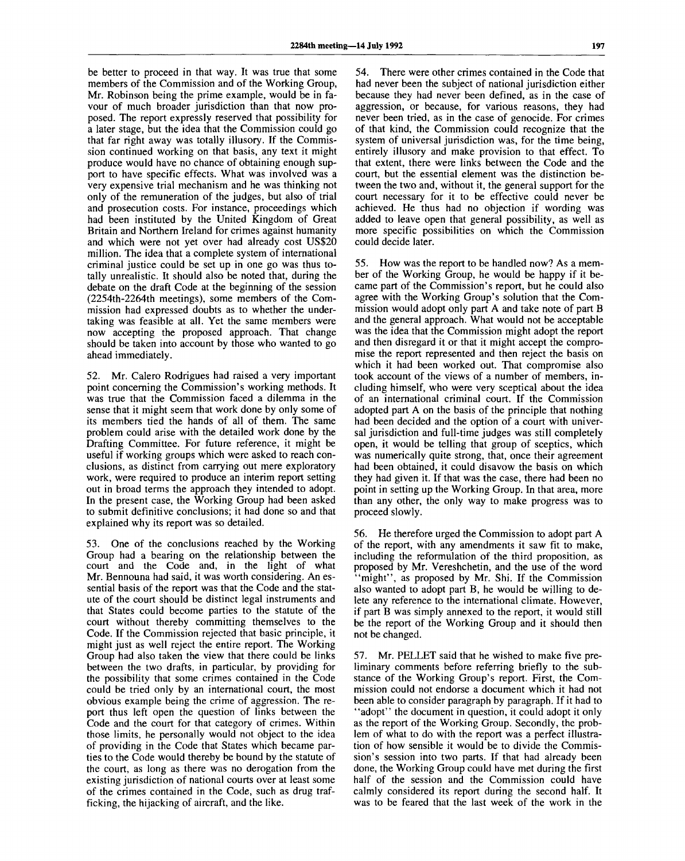be better to proceed in that way. It was true that some members of the Commission and of the Working Group, Mr. Robinson being the prime example, would be in favour of much broader jurisdiction than that now proposed. The report expressly reserved that possibility for a later stage, but the idea that the Commission could go that far right away was totally illusory. If the Commission continued working on that basis, any text it might produce would have no chance of obtaining enough support to have specific effects. What was involved was a very expensive trial mechanism and he was thinking not only of the remuneration of the judges, but also of trial and prosecution costs. For instance, proceedings which had been instituted by the United Kingdom of Great Britain and Northern Ireland for crimes against humanity and which were not yet over had already cost US\$20 million. The idea that a complete system of international criminal justice could be set up in one go was thus totally unrealistic. It should also be noted that, during the debate on the draft Code at the beginning of the session (2254th-2264th meetings), some members of the Commission had expressed doubts as to whether the undertaking was feasible at all. Yet the same members were now accepting the proposed approach. That change should be taken into account by those who wanted to go ahead immediately.

52. Mr. Calero Rodrigues had raised a very important point concerning the Commission's working methods. It was true that the Commission faced a dilemma in the sense that it might seem that work done by only some of its members tied the hands of all of them. The same problem could arise with the detailed work done by the Drafting Committee. For future reference, it might be useful if working groups which were asked to reach conclusions, as distinct from carrying out mere exploratory work, were required to produce an interim report setting out in broad terms the approach they intended to adopt. In the present case, the Working Group had been asked to submit definitive conclusions; it had done so and that explained why its report was so detailed.

53. One of the conclusions reached by the Working Group had a bearing on the relationship between the court and the Code and, in the light of what Mr. Bennouna had said, it was worth considering. An essential basis of the report was that the Code and the statute of the court should be distinct legal instruments and that States could become parties to the statute of the court without thereby committing themselves to the Code. If the Commission rejected that basic principle, it might just as well reject the entire report. The Working Group had also taken the view that there could be links between the two drafts, in particular, by providing for the possibility that some crimes contained in the Code could be tried only by an international court, the most obvious example being the crime of aggression. The report thus left open the question of links between the Code and the court for that category of crimes. Within those limits, he personally would not object to the idea of providing in the Code that States which became parties to the Code would thereby be bound by the statute of the court, as long as there was no derogation from the existing jurisdiction of national courts over at least some of the crimes contained in the Code, such as drug trafficking, the hijacking of aircraft, and the like.

54. There were other crimes contained in the Code that had never been the subject of national jurisdiction either because they had never been defined, as in the case of aggression, or because, for various reasons, they had never been tried, as in the case of genocide. For crimes of that kind, the Commission could recognize that the system of universal jurisdiction was, for the time being, entirely illusory and make provision to that effect. To that extent, there were links between the Code and the court, but the essential element was the distinction between the two and, without it, the general support for the court necessary for it to be effective could never be achieved. He thus had no objection if wording was added to leave open that general possibility, as well as more specific possibilities on which the Commission could decide later.

55. How was the report to be handled now? As a member of the Working Group, he would be happy if it became part of the Commission's report, but he could also agree with the Working Group's solution that the Commission would adopt only part A and take note of part B and the general approach. What would not be acceptable was the idea that the Commission might adopt the report and then disregard it or that it might accept the compromise the report represented and then reject the basis on which it had been worked out. That compromise also took account of the views of a number of members, including himself, who were very sceptical about the idea of an international criminal court. If the Commission adopted part A on the basis of the principle that nothing had been decided and the option of a court with universal jurisdiction and full-time judges was still completely open, it would be telling that group of sceptics, which was numerically quite strong, that, once their agreement had been obtained, it could disavow the basis on which they had given it. If that was the case, there had been no point in setting up the Working Group. In that area, more than any other, the only way to make progress was to proceed slowly.

56. He therefore urged the Commission to adopt part A of the report, with any amendments it saw fit to make, including the reformulation of the third proposition, as proposed by Mr. Vereshchetin, and the use of the word "might", as proposed by Mr. Shi. If the Commission also wanted to adopt part B, he would be willing to delete any reference to the international climate. However, if part B was simply annexed to the report, it would still be the report of the Working Group and it should then not be changed.

57. Mr. PELLET said that he wished to make five preliminary comments before referring briefly to the substance of the Working Group's report. First, the Commission could not endorse a document which it had not been able to consider paragraph by paragraph. If it had to "adopt" the document in question, it could adopt it only as the report of the Working Group. Secondly, the problem of what to do with the report was a perfect illustration of how sensible it would be to divide the Commission's session into two parts. If that had already been done, the Working Group could have met during the first half of the session and the Commission could have calmly considered its report during the second half. It was to be feared that the last week of the work in the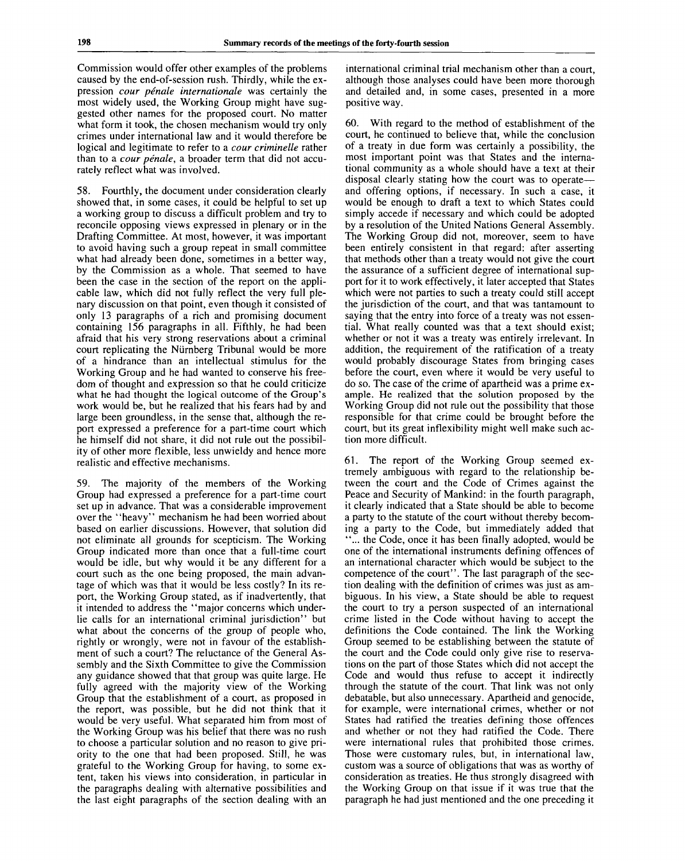Commission would offer other examples of the problems caused by the end-of-session rush. Thirdly, while the expression *cour penale Internationale* was certainly the most widely used, the Working Group might have suggested other names for the proposed court. No matter what form it took, the chosen mechanism would try only crimes under international law and it would therefore be logical and legitimate to refer to a *cour criminelle* rather than to a *cour penale,* a broader term that did not accurately reflect what was involved.

58. Fourthly, the document under consideration clearly showed that, in some cases, it could be helpful to set up a working group to discuss a difficult problem and try to reconcile opposing views expressed in plenary or in the Drafting Committee. At most, however, it was important to avoid having such a group repeat in small committee what had already been done, sometimes in a better way, by the Commission as a whole. That seemed to have been the case in the section of the report on the applicable law, which did not fully reflect the very full plenary discussion on that point, even though it consisted of only 13 paragraphs of a rich and promising document containing 156 paragraphs in all. Fifthly, he had been afraid that his very strong reservations about a criminal court replicating the Nurnberg Tribunal would be more of a hindrance than an intellectual stimulus for the Working Group and he had wanted to conserve his freedom of thought and expression so that he could criticize what he had thought the logical outcome of the Group's work would be, but he realized that his fears had by and large been groundless, in the sense that, although the report expressed a preference for a part-time court which he himself did not share, it did not rule out the possibility of other more flexible, less unwieldy and hence more realistic and effective mechanisms.

59. The majority of the members of the Working Group had expressed a preference for a part-time court set up in advance. That was a considerable improvement over the "heavy" mechanism he had been worried about based on earlier discussions. However, that solution did not eliminate all grounds for scepticism. The Working Group indicated more than once that a full-time court would be idle, but why would it be any different for a court such as the one being proposed, the main advantage of which was that it would be less costly? In its report, the Working Group stated, as if inadvertently, that it intended to address the "major concerns which underlie calls for an international criminal jurisdiction" but what about the concerns of the group of people who, rightly or wrongly, were not in favour of the establishment of such a court? The reluctance of the General Assembly and the Sixth Committee to give the Commission any guidance showed that that group was quite large. He fully agreed with the majority view of the Working Group that the establishment of a court, as proposed in the report, was possible, but he did not think that it would be very useful. What separated him from most of the Working Group was his belief that there was no rush to choose a particular solution and no reason to give priority to the one that had been proposed. Still, he was grateful to the Working Group for having, to some extent, taken his views into consideration, in particular in the paragraphs dealing with alternative possibilities and the last eight paragraphs of the section dealing with an international criminal trial mechanism other than a court, although those analyses could have been more thorough and detailed and, in some cases, presented in a more positive way.

60. With regard to the method of establishment of the court, he continued to believe that, while the conclusion of a treaty in due form was certainly a possibility, the most important point was that States and the international community as a whole should have a text at their disposal clearly stating how the court was to operate and offering options, if necessary. In such a case, it would be enough to draft a text to which States could simply accede if necessary and which could be adopted by a resolution of the United Nations General Assembly. The Working Group did not. moreover, seem to have been entirely consistent in that regard: after asserting that methods other than a treaty would not give the court the assurance of a sufficient degree of international support for it to work effectively, it later accepted that States which were not parties to such a treaty could still accept the jurisdiction of the court, and that was tantamount to saying that the entry into force of a treaty was not essential. What really counted was that a text should exist; whether or not it was a treaty was entirely irrelevant. In addition, the requirement of the ratification of a treaty would probably discourage States from bringing cases before the court, even where it would be very useful to do so. The case of the crime of apartheid was a prime example. He realized that the solution proposed by the Working Group did not rule out the possibility that those responsible for that crime could be brought before the court, but its great inflexibility might well make such action more difficult.

61. The report of the Working Group seemed extremely ambiguous with regard to the relationship between the court and the Code of Crimes against the Peace and Security of Mankind: in the fourth paragraph, it clearly indicated that a State should be able to become a party to the statute of the court without thereby becoming a party to the Code, but immediately added that ... the Code, once it has been finally adopted, would be one of the international instruments defining offences of an international character which would be subject to the competence of the court". The last paragraph of the section dealing with the definition of crimes was just as ambiguous. In his view, a State should be able to request the court to try a person suspected of an international crime listed in the Code without having to accept the definitions the Code contained. The link the Working Group seemed to be establishing between the statute of the court and the Code could only give rise to reservations on the part of those States which did not accept the Code and would thus refuse to accept it indirectly through the statute of the court. That link was not only debatable, but also unnecessary. Apartheid and genocide, for example, were international crimes, whether or not States had ratified the treaties defining those offences and whether or not they had ratified the Code. There were international rules that prohibited those crimes. Those were customary rules, but, in international law, custom was a source of obligations that was as worthy of consideration as treaties. He thus strongly disagreed with the Working Group on that issue if it was true that the paragraph he had just mentioned and the one preceding it